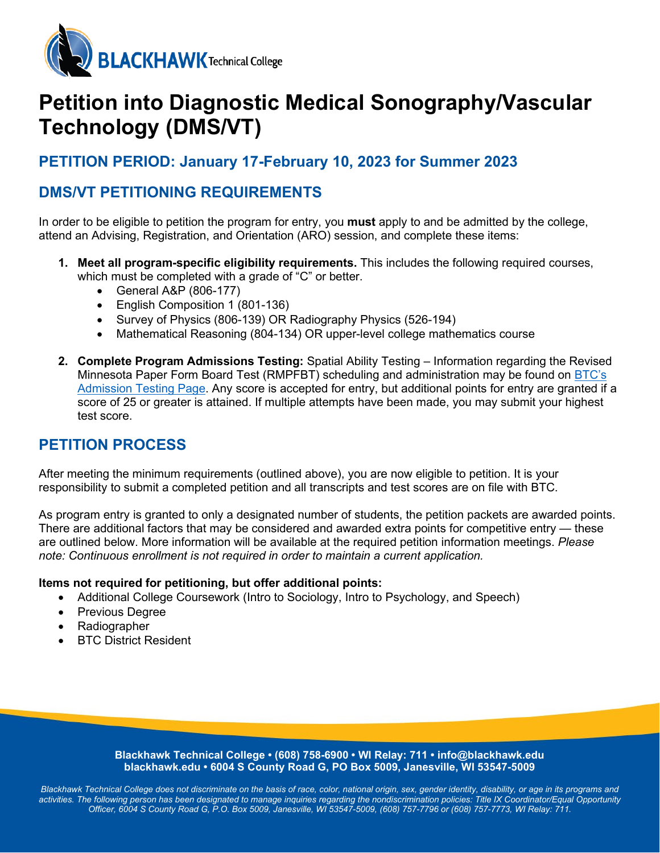

# **Petition into Diagnostic Medical Sonography/Vascular Technology (DMS/VT)**

# **PETITION PERIOD: January 17-February 10, 2023 for Summer 2023**

# **DMS/VT PETITIONING REQUIREMENTS**

In order to be eligible to petition the program for entry, you **must** apply to and be admitted by the college, attend an Advising, Registration, and Orientation (ARO) session, and complete these items:

- **1. Meet all program-specific eligibility requirements.** This includes the following required courses, which must be completed with a grade of "C" or better.
	- General A&P (806-177)
	- English Composition 1 (801-136)
	- Survey of Physics (806-139) OR Radiography Physics (526-194)
	- Mathematical Reasoning (804-134) OR upper-level college mathematics course
- **2. Complete Program Admissions Testing:** Spatial Ability Testing Information regarding the Revised Minnesota Paper Form Board Test (RMPFBT) scheduling and administration may be found on [BTC's](https://blackhawk.edu/Admissions/After-Youre-Admitted/Placement-Testing)  [Admission Testing Page.](https://blackhawk.edu/Admissions/After-Youre-Admitted/Placement-Testing) Any score is accepted for entry, but additional points for entry are granted if a score of 25 or greater is attained. If multiple attempts have been made, you may submit your highest test score.

## **PETITION PROCESS**

After meeting the minimum requirements (outlined above), you are now eligible to petition. It is your responsibility to submit a completed petition and all transcripts and test scores are on file with BTC.

As program entry is granted to only a designated number of students, the petition packets are awarded points. There are additional factors that may be considered and awarded extra points for competitive entry — these are outlined below. More information will be available at the required petition information meetings. *Please note: Continuous enrollment is not required in order to maintain a current application.*

## **Items not required for petitioning, but offer additional points:**

- Additional College Coursework (Intro to Sociology, Intro to Psychology, and Speech)
- Previous Degree
- Radiographer
- **BTC District Resident**

**Blackhawk Technical College • (608) 758-6900 • WI Relay: 711 • info@blackhawk.edu blackhawk.edu • 6004 S County Road G, PO Box 5009, Janesville, WI 53547-5009**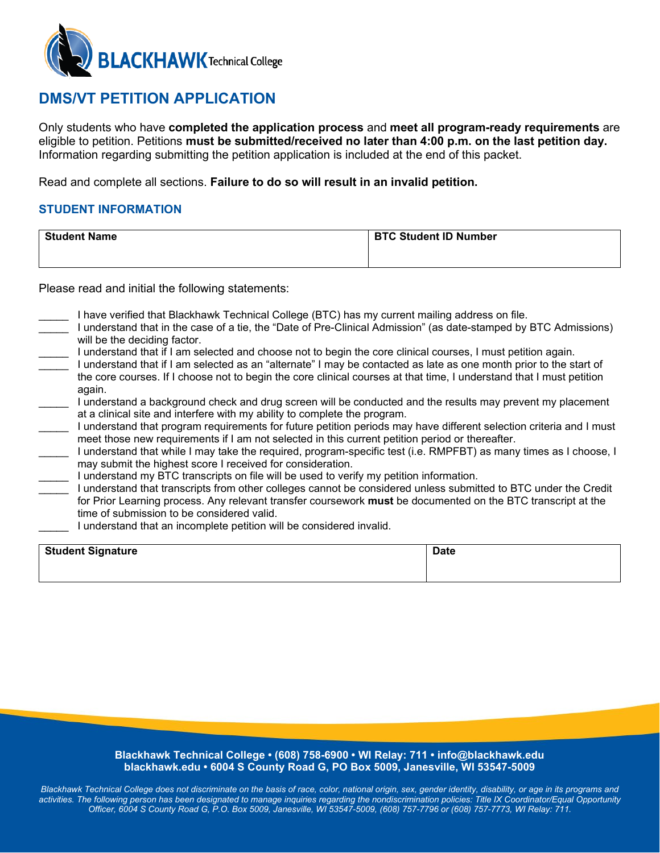

# **DMS/VT PETITION APPLICATION**

Only students who have **completed the application process** and **meet all program-ready requirements** are eligible to petition. Petitions **must be submitted/received no later than 4:00 p.m. on the last petition day.** Information regarding submitting the petition application is included at the end of this packet.

Read and complete all sections. **Failure to do so will result in an invalid petition.**

## **STUDENT INFORMATION**

| <b>Student Name</b> | <b>BTC Student ID Number</b> |
|---------------------|------------------------------|
|                     |                              |

Please read and initial the following statements:

- I have verified that Blackhawk Technical College (BTC) has my current mailing address on file.
- \_\_\_\_\_ I understand that in the case of a tie, the "Date of Pre-Clinical Admission" (as date-stamped by BTC Admissions) will be the deciding factor.
- \_\_\_\_\_ I understand that if I am selected and choose not to begin the core clinical courses, I must petition again.
- \_\_\_\_\_ I understand that if I am selected as an "alternate" I may be contacted as late as one month prior to the start of the core courses. If I choose not to begin the core clinical courses at that time, I understand that I must petition again.
- I understand a background check and drug screen will be conducted and the results may prevent my placement at a clinical site and interfere with my ability to complete the program.
- \_\_\_\_\_ I understand that program requirements for future petition periods may have different selection criteria and I must meet those new requirements if I am not selected in this current petition period or thereafter.
- \_\_\_\_\_ I understand that while I may take the required, program-specific test (i.e. RMPFBT) as many times as I choose, I may submit the highest score I received for consideration.
- I understand my BTC transcripts on file will be used to verify my petition information.
- \_\_\_\_\_ I understand that transcripts from other colleges cannot be considered unless submitted to BTC under the Credit for Prior Learning process. Any relevant transfer coursework **must** be documented on the BTC transcript at the time of submission to be considered valid.
- I understand that an incomplete petition will be considered invalid.

| <b>Student Signature</b> | <b>Date</b> |
|--------------------------|-------------|
|                          |             |

#### **Blackhawk Technical College • (608) 758-6900 • WI Relay: 711 • info@blackhawk.edu blackhawk.edu • 6004 S County Road G, PO Box 5009, Janesville, WI 53547-5009**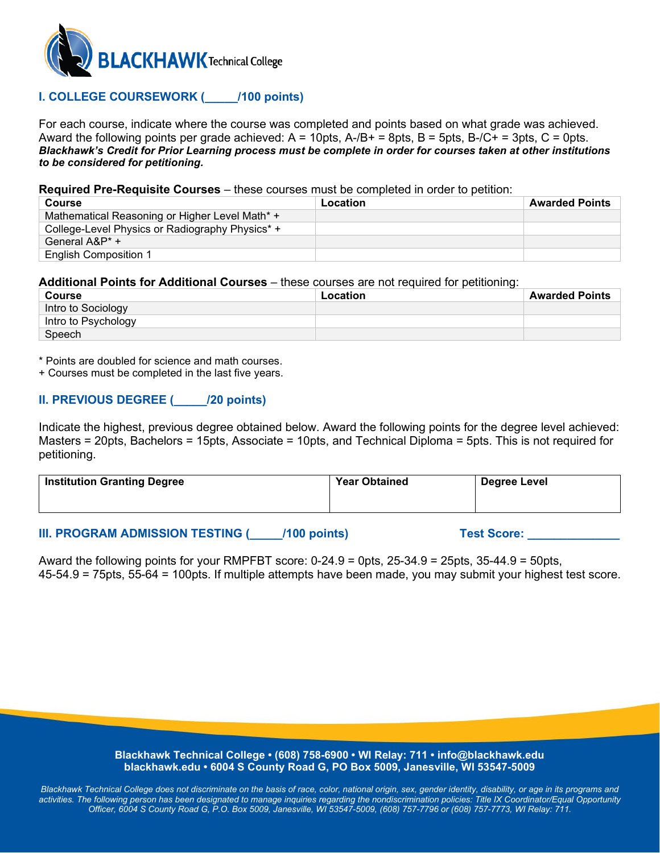

## **I. COLLEGE COURSEWORK (\_\_\_\_\_/100 points)**

For each course, indicate where the course was completed and points based on what grade was achieved. Award the following points per grade achieved:  $A = 10$ pts,  $A-B+ = 8$ pts,  $B = 5$ pts,  $B-C+ = 3$ pts,  $C = 0$ pts. *Blackhawk's Credit for Prior Learning process must be complete in order for courses taken at other institutions to be considered for petitioning.*

**Required Pre-Requisite Courses** – these courses must be completed in order to petition:

| Course                                          | Location | <b>Awarded Points</b> |
|-------------------------------------------------|----------|-----------------------|
| Mathematical Reasoning or Higher Level Math* +  |          |                       |
| College-Level Physics or Radiography Physics* + |          |                       |
| General A&P* +                                  |          |                       |
| <b>English Composition 1</b>                    |          |                       |

#### **Additional Points for Additional Courses** – these courses are not required for petitioning:

| Course              | Location | <b>Awarded Points</b> |
|---------------------|----------|-----------------------|
| Intro to Sociology  |          |                       |
| Intro to Psychology |          |                       |
| Speech              |          |                       |

\* Points are doubled for science and math courses.

+ Courses must be completed in the last five years.

## **II. PREVIOUS DEGREE (\_\_\_\_\_/20 points)**

Indicate the highest, previous degree obtained below. Award the following points for the degree level achieved: Masters = 20pts, Bachelors = 15pts, Associate = 10pts, and Technical Diploma = 5pts. This is not required for petitioning.

| <b>Institution Granting Degree</b> | <b>Year Obtained</b> | Degree Level |
|------------------------------------|----------------------|--------------|
|                                    |                      |              |

## **III. PROGRAM ADMISSION TESTING (COMPORER) Test Score:** Test Score:

Award the following points for your RMPFBT score:  $0-24.9 = 0$ pts,  $25-34.9 = 25$ pts,  $35-44.9 = 50$ pts, 45-54.9 = 75pts, 55-64 = 100pts. If multiple attempts have been made, you may submit your highest test score.

> **Blackhawk Technical College • (608) 758-6900 • WI Relay: 711 • info@blackhawk.edu blackhawk.edu • 6004 S County Road G, PO Box 5009, Janesville, WI 53547-5009**